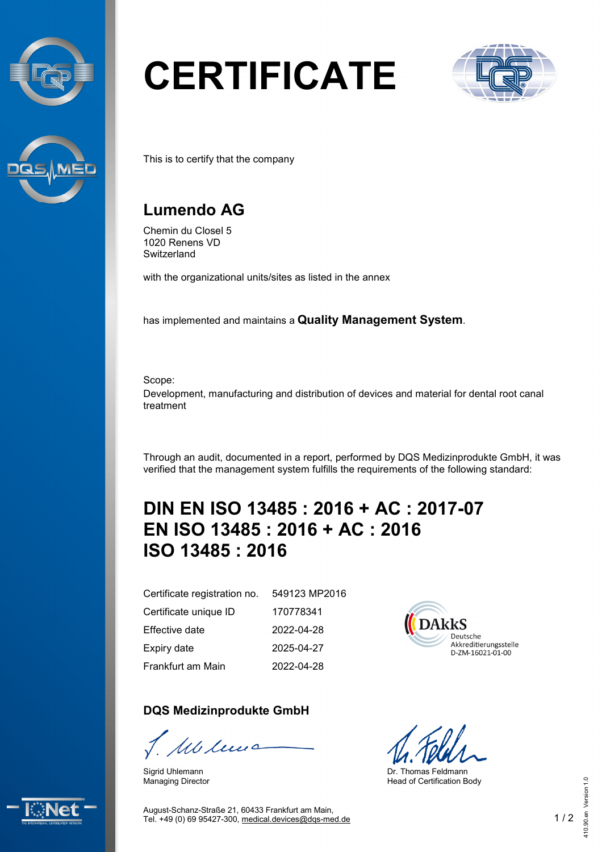



# **CERTIFICATE**



This is to certify that the company

### **Lumendo AG**

Chemin du Closel 5 1020 Renens VD **Switzerland** 

with the organizational units/sites as listed in the annex

has implemented and maintains a **Quality Management System**.

Scope:

Development, manufacturing and distribution of devices and material for dental root canal treatment

Through an audit, documented in a report, performed by DQS Medizinprodukte GmbH, it was verified that the management system fulfills the requirements of the following standard:

## **DIN EN ISO 13485 : 2016 + AC : 2017-07 EN ISO 13485 : 2016 + AC : 2016 ISO 13485 : 2016**

Certificate registration no. Certificate unique ID Effective date Expiry date Frankfurt am Main 549123 MP2016

#### **DQS Medizinprodukte GmbH**

We leve

Sigrid Uhlemann Managing Director

170778341 2022-04-28 2025-04-27 2022-04-28



Dr. Thomas Feldmann Head of Certification Body



August-Schanz-Straße 21, 60433 Frankfurt am Main, Tel. +49 (0) 69 95427-300, [medical.devices@dqs-med.de](mailto:medical.devices@dqs-med.de) 1 / 2